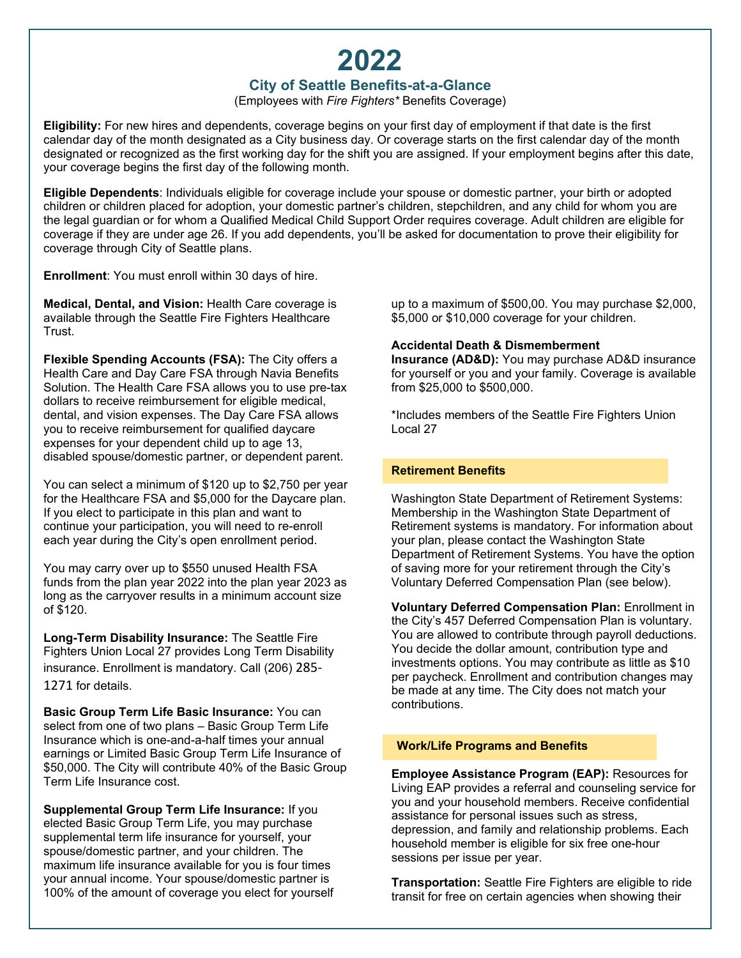# **2022**

## **City of Seattle Benefits-at-a-Glance**

(Employees with *Fire Fighters\** Benefits Coverage)

**Eligibility:** For new hires and dependents, coverage begins on your first day of employment if that date is the first calendar day of the month designated as a City business day. Or coverage starts on the first calendar day of the month designated or recognized as the first working day for the shift you are assigned. If your employment begins after this date, your coverage begins the first day of the following month.

**Eligible Dependents**: Individuals eligible for coverage include your spouse or domestic partner, your birth or adopted children or children placed for adoption, your domestic partner's children, stepchildren, and any child for whom you are the legal guardian or for whom a Qualified Medical Child Support Order requires coverage. Adult children are eligible for coverage if they are under age 26. If you add dependents, you'll be asked for documentation to prove their eligibility for coverage through City of Seattle plans.

**Enrollment**: You must enroll within 30 days of hire.

**Medical, Dental, and Vision:** Health Care coverage is available through the Seattle Fire Fighters Healthcare Trust.

**Flexible Spending Accounts (FSA):** The City offers a Health Care and Day Care FSA through Navia Benefits Solution. The Health Care FSA allows you to use pre-tax dollars to receive reimbursement for eligible medical, dental, and vision expenses. The Day Care FSA allows you to receive reimbursement for qualified daycare expenses for your dependent child up to age 13, disabled spouse/domestic partner, or dependent parent.

You can select a minimum of \$120 up to \$2,750 per year for the Healthcare FSA and \$5,000 for the Daycare plan. If you elect to participate in this plan and want to continue your participation, you will need to re-enroll each year during the City's open enrollment period.

You may carry over up to \$550 unused Health FSA funds from the plan year 2022 into the plan year 2023 as long as the carryover results in a minimum account size of \$120.

**Long-Term Disability Insurance:** The Seattle Fire Fighters Union Local 27 provides Long Term Disability insurance. Enrollment is mandatory. Call (206) 285- 1271 for details.

**Basic Group Term Life Basic Insurance:** You can select from one of two plans – Basic Group Term Life Insurance which is one-and-a-half times your annual earnings or Limited Basic Group Term Life Insurance of \$50,000. The City will contribute 40% of the Basic Group Term Life Insurance cost.

**Supplemental Group Term Life Insurance:** If you elected Basic Group Term Life, you may purchase supplemental term life insurance for yourself, your spouse/domestic partner, and your children. The maximum life insurance available for you is four times your annual income. Your spouse/domestic partner is 100% of the amount of coverage you elect for yourself

up to a maximum of \$500,00. You may purchase \$2,000, \$5,000 or \$10,000 coverage for your children.

### **Accidental Death & Dismemberment**

**Insurance (AD&D):** You may purchase AD&D insurance for yourself or you and your family. Coverage is available from \$25,000 to \$500,000.

\*Includes members of the Seattle Fire Fighters Union Local 27

### **Retirement Benefits**

Washington State Department of Retirement Systems: Membership in the Washington State Department of Retirement systems is mandatory. For information about your plan, please contact the Washington State Department of Retirement Systems. You have the option of saving more for your retirement through the City's Voluntary Deferred Compensation Plan (see below).

**Voluntary Deferred Compensation Plan:** Enrollment in the City's 457 Deferred Compensation Plan is voluntary. You are allowed to contribute through payroll deductions. You decide the dollar amount, contribution type and investments options. You may contribute as little as \$10 per paycheck. Enrollment and contribution changes may be made at any time. The City does not match your contributions.

#### **Work/Life Programs and Benefits**

**Employee Assistance Program (EAP):** Resources for Living EAP provides a referral and counseling service for you and your household members. Receive confidential assistance for personal issues such as stress, depression, and family and relationship problems. Each household member is eligible for six free one-hour sessions per issue per year.

**Transportation:** Seattle Fire Fighters are eligible to ride transit for free on certain agencies when showing their